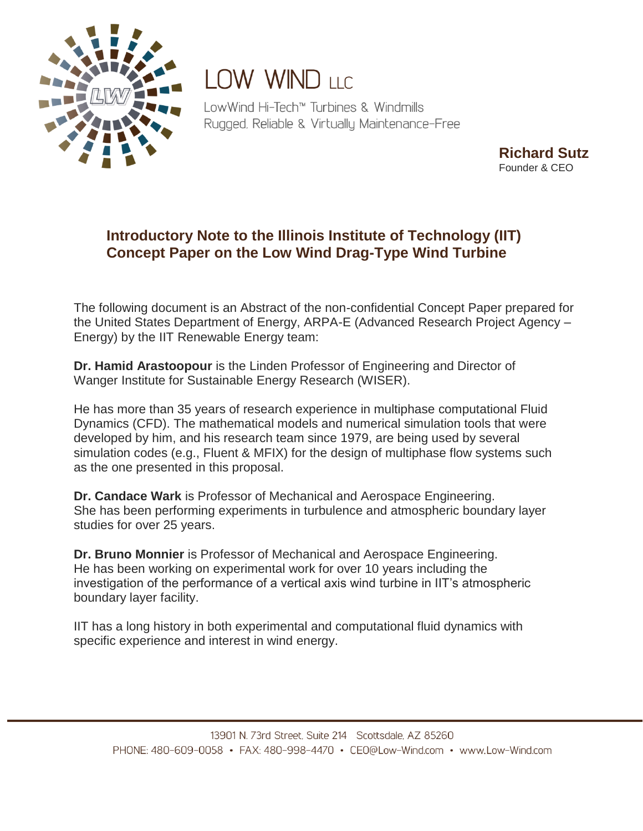

## **LOW WIND LLC**

LowWind Hi-Tech™ Turbines & Windmills Rugged, Reliable & Virtually Maintenance-Free

> **Richard Sutz** Founder & CEO

## **Introductory Note to the Illinois Institute of Technology (IIT) Concept Paper on the Low Wind Drag-Type Wind Turbine**

The following document is an Abstract of the non-confidential Concept Paper prepared for the United States Department of Energy, ARPA-E (Advanced Research Project Agency – Energy) by the IIT Renewable Energy team:

**Dr. Hamid Arastoopour** is the Linden Professor of Engineering and Director of Wanger Institute for Sustainable Energy Research (WISER).

He has more than 35 years of research experience in multiphase computational Fluid Dynamics (CFD). The mathematical models and numerical simulation tools that were developed by him, and his research team since 1979, are being used by several simulation codes (e.g., Fluent & MFIX) for the design of multiphase flow systems such as the one presented in this proposal.

**Dr. Candace Wark** is Professor of Mechanical and Aerospace Engineering. She has been performing experiments in turbulence and atmospheric boundary layer studies for over 25 years.

**Dr. Bruno Monnier** is Professor of Mechanical and Aerospace Engineering. He has been working on experimental work for over 10 years including the investigation of the performance of a vertical axis wind turbine in IIT's atmospheric boundary layer facility.

IIT has a long history in both experimental and computational fluid dynamics with specific experience and interest in wind energy.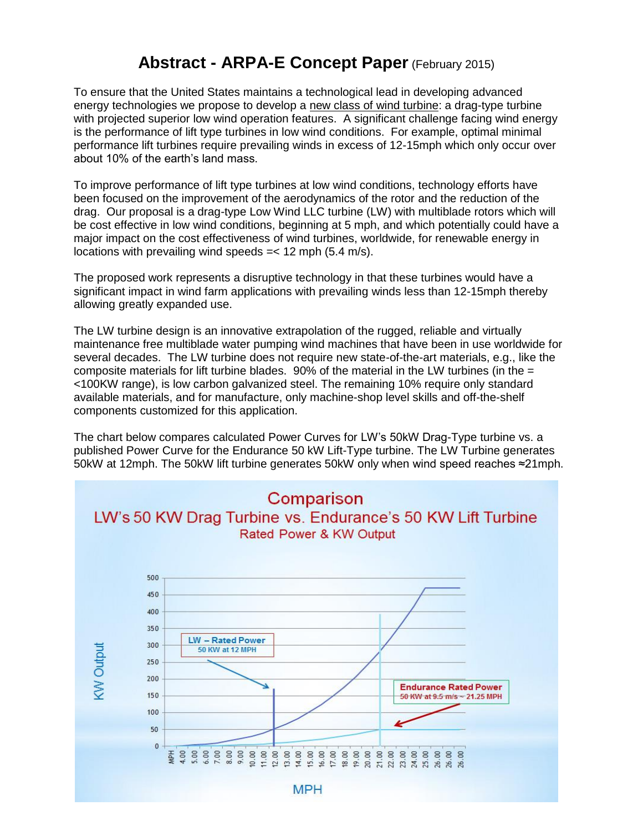## **Abstract - ARPA-E Concept Paper** (February 2015)

To ensure that the United States maintains a technological lead in developing advanced energy technologies we propose to develop a new class of wind turbine: a drag-type turbine with projected superior low wind operation features. A significant challenge facing wind energy is the performance of lift type turbines in low wind conditions. For example, optimal minimal performance lift turbines require prevailing winds in excess of 12-15mph which only occur over about 10% of the earth's land mass.

To improve performance of lift type turbines at low wind conditions, technology efforts have been focused on the improvement of the aerodynamics of the rotor and the reduction of the drag. Our proposal is a drag-type Low Wind LLC turbine (LW) with multiblade rotors which will be cost effective in low wind conditions, beginning at 5 mph, and which potentially could have a major impact on the cost effectiveness of wind turbines, worldwide, for renewable energy in locations with prevailing wind speeds =< 12 mph (5.4 m/s).

The proposed work represents a disruptive technology in that these turbines would have a significant impact in wind farm applications with prevailing winds less than 12-15mph thereby allowing greatly expanded use.

The LW turbine design is an innovative extrapolation of the rugged, reliable and virtually maintenance free multiblade water pumping wind machines that have been in use worldwide for several decades. The LW turbine does not require new state-of-the-art materials, e.g., like the composite materials for lift turbine blades.  $90\%$  of the material in the LW turbines (in the  $=$ <100KW range), is low carbon galvanized steel. The remaining 10% require only standard available materials, and for manufacture, only machine-shop level skills and off-the-shelf components customized for this application.

The chart below compares calculated Power Curves for LW's 50kW Drag-Type turbine vs. a published Power Curve for the Endurance 50 kW Lift-Type turbine. The LW Turbine generates 50kW at 12mph. The 50kW lift turbine generates 50kW only when wind speed reaches ≈21mph.